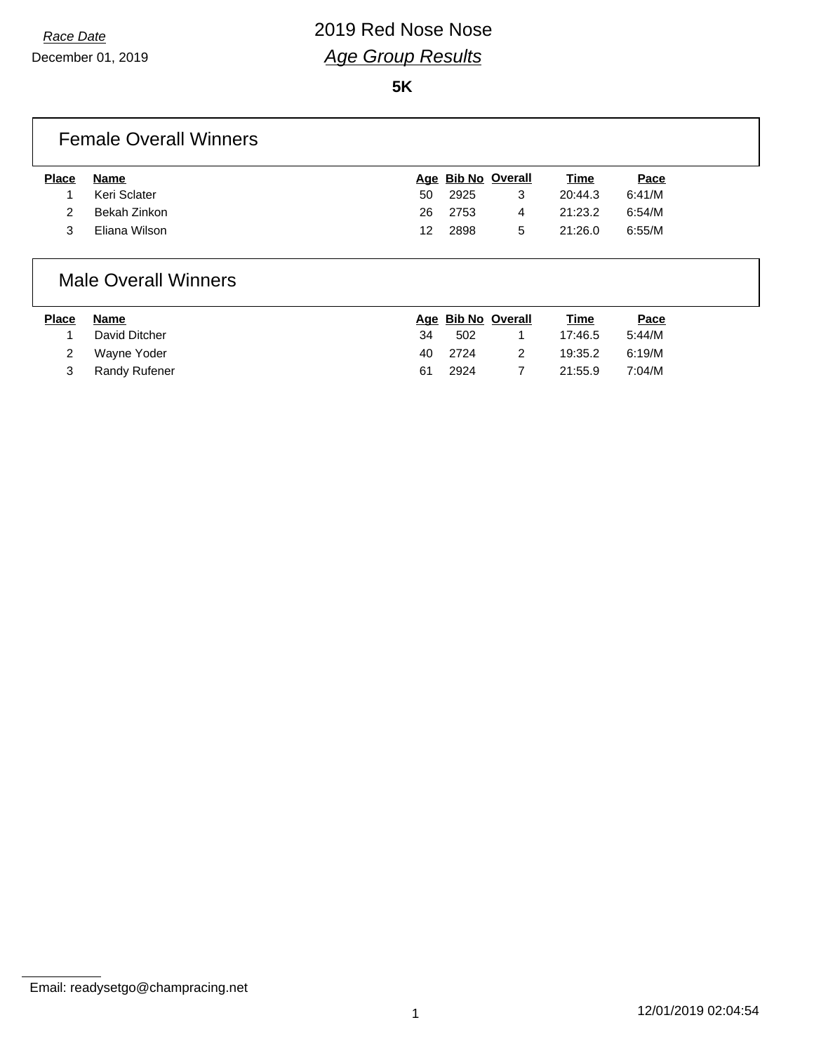December 01, 2019

**5K**

### Female Overall Winners

| Name          |    |      |               | Time               | Pace   |
|---------------|----|------|---------------|--------------------|--------|
| Keri Sclater  | 50 | 2925 | 3             | 20:44.3            | 6:41/M |
| Bekah Zinkon  |    |      | 4             | 21:23.2            | 6:54/M |
| Eliana Wilson |    | 2898 | 5             | 21:26.0            | 6:55/M |
|               |    |      | 26 2753<br>12 | Age Bib No Overall |        |

### Male Overall Winners

| <b>Place</b> | Name          |    | Age Bib No Overall | <u>Time</u> | Pace   |
|--------------|---------------|----|--------------------|-------------|--------|
|              | David Ditcher | 34 | 502                | 17:46.5     | 5:44/M |
|              | Wayne Yoder   |    | 40 2724            | 19:35.2     | 6:19/M |
|              | Randy Rufener | 61 | 2924               | 21:55.9     | 7:04/M |

Email: readysetgo@champracing.net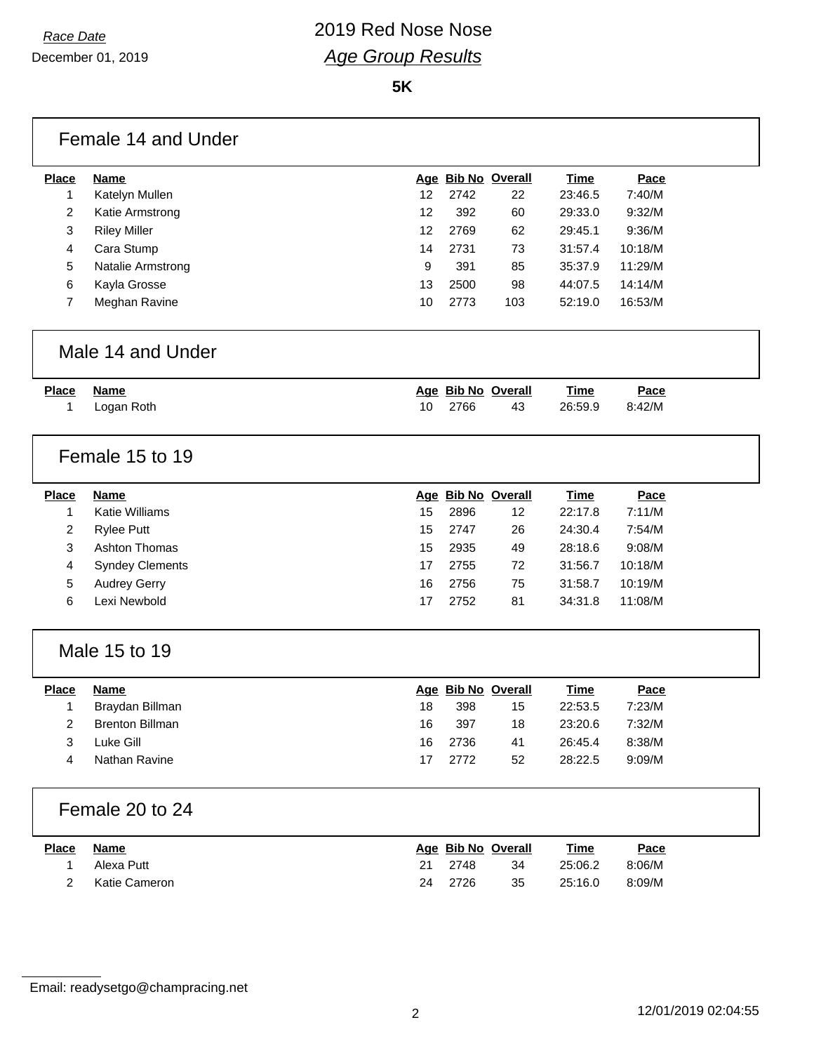|              | Female 14 and Under    |    |      |                    |             |         |
|--------------|------------------------|----|------|--------------------|-------------|---------|
| <b>Place</b> | <b>Name</b>            |    |      | Age Bib No Overall | <b>Time</b> | Pace    |
| 1            | Katelyn Mullen         | 12 | 2742 | 22                 | 23:46.5     | 7:40/M  |
| 2            | Katie Armstrong        | 12 | 392  | 60                 | 29:33.0     | 9:32/M  |
| 3            | <b>Riley Miller</b>    | 12 | 2769 | 62                 | 29:45.1     | 9:36/M  |
| 4            | Cara Stump             | 14 | 2731 | 73                 | 31:57.4     | 10:18/M |
| 5            | Natalie Armstrong      | 9  | 391  | 85                 | 35:37.9     | 11:29/M |
| 6            | Kayla Grosse           | 13 | 2500 | 98                 | 44:07.5     | 14:14/M |
| 7            | Meghan Ravine          | 10 | 2773 | 103                | 52:19.0     | 16:53/M |
|              | Male 14 and Under      |    |      |                    |             |         |
| <b>Place</b> | <b>Name</b>            |    |      | Age Bib No Overall | <b>Time</b> | Pace    |
| 1            | Logan Roth             | 10 | 2766 | 43                 | 26:59.9     | 8:42/M  |
|              | Female 15 to 19        |    |      |                    |             |         |
| <b>Place</b> | <b>Name</b>            |    |      | Age Bib No Overall | <b>Time</b> | Pace    |
| 1            | <b>Katie Williams</b>  | 15 | 2896 | 12                 | 22:17.8     | 7:11/M  |
| 2            | <b>Rylee Putt</b>      | 15 | 2747 | 26                 | 24:30.4     | 7:54/M  |
| 3            | Ashton Thomas          | 15 | 2935 | 49                 | 28:18.6     | 9:08/M  |
| 4            | <b>Syndey Clements</b> | 17 | 2755 | 72                 | 31:56.7     | 10:18/M |
| 5            | <b>Audrey Gerry</b>    | 16 | 2756 | 75                 | 31:58.7     | 10:19/M |
| 6            | Lexi Newbold           | 17 | 2752 | 81                 | 34:31.8     | 11:08/M |
|              | Male 15 to 19          |    |      |                    |             |         |
| <b>Place</b> | <b>Name</b>            |    |      | Age Bib No Overall | <b>Time</b> | Pace    |
| 1            | Braydan Billman        | 18 | 398  | 15                 | 22:53.5     | 7:23/M  |
| 2            | <b>Brenton Billman</b> | 16 | 397  | 18                 | 23:20.6     | 7:32/M  |
| 3            | Luke Gill              | 16 | 2736 | 41                 | 26:45.4     | 8:38/M  |
| 4            | Nathan Ravine          | 17 | 2772 | 52                 | 28:22.5     | 9:09/M  |
|              | Female 20 to 24        |    |      |                    |             |         |
| <b>Place</b> | <b>Name</b>            |    |      | Age Bib No Overall | <b>Time</b> | Pace    |
| 1            | Alexa Putt             | 21 | 2748 | 34                 | 25:06.2     | 8:06/M  |
| 2            | Katie Cameron          | 24 | 2726 | 35                 | 25:16.0     | 8:09/M  |

Email: readysetgo@champracing.net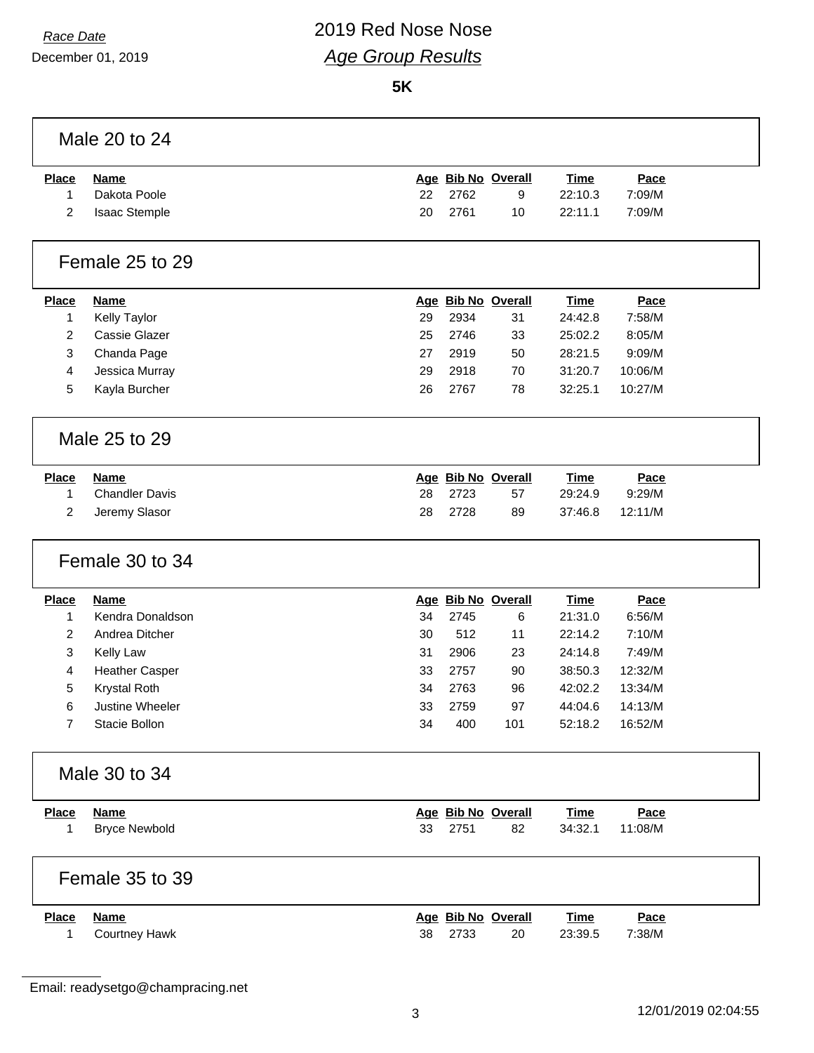# *Race Date* 2019 Red Nose Nose *Age Group Results*

|              | Male 20 to 24         |    |                    |     |             |             |
|--------------|-----------------------|----|--------------------|-----|-------------|-------------|
| <b>Place</b> | <b>Name</b>           |    | Age Bib No Overall |     | <b>Time</b> | Pace        |
| 1            | Dakota Poole          | 22 | 2762               | 9   | 22:10.3     | 7:09/M      |
| 2            | Isaac Stemple         | 20 | 2761               | 10  | 22:11.1     | 7:09/M      |
|              | Female 25 to 29       |    |                    |     |             |             |
| <b>Place</b> | <b>Name</b>           |    | Age Bib No Overall |     | <b>Time</b> | Pace        |
| 1            | Kelly Taylor          | 29 | 2934               | 31  | 24:42.8     | 7:58/M      |
| 2            | Cassie Glazer         | 25 | 2746               | 33  | 25:02.2     | 8:05/M      |
| 3            | Chanda Page           | 27 | 2919               | 50  | 28:21.5     | 9:09/M      |
| 4            | Jessica Murray        | 29 | 2918               | 70  | 31:20.7     | 10:06/M     |
| 5            | Kayla Burcher         | 26 | 2767               | 78  | 32:25.1     | 10:27/M     |
|              | Male 25 to 29         |    |                    |     |             |             |
| <b>Place</b> | <b>Name</b>           |    | Age Bib No Overall |     | <b>Time</b> | Pace        |
| 1            | <b>Chandler Davis</b> | 28 | 2723               | 57  | 29:24.9     | 9:29/M      |
| 2            | Jeremy Slasor         | 28 | 2728               | 89  | 37:46.8     | 12:11/M     |
|              | Female 30 to 34       |    |                    |     |             |             |
| <b>Place</b> | <b>Name</b>           |    | Age Bib No Overall |     | <b>Time</b> | Pace        |
| 1            | Kendra Donaldson      | 34 | 2745               | 6   | 21:31.0     | 6:56/M      |
| 2            | Andrea Ditcher        | 30 | 512                | 11  | 22:14.2     | 7:10/M      |
| 3            | Kelly Law             | 31 | 2906               | 23  | 24:14.8     | 7:49/M      |
| 4            | <b>Heather Casper</b> | 33 | 2757               | 90  | 38:50.3     | 12:32/M     |
| 5            | Krystal Roth          | 34 | 2763               | 96  | 42:02.2     | 13:34/M     |
| 6            | Justine Wheeler       | 33 | 2759               | 97  | 44:04.6     | 14:13/M     |
| 7            | Stacie Bollon         | 34 | 400                | 101 | 52:18.2     | 16:52/M     |
|              | Male 30 to 34         |    |                    |     |             |             |
| <b>Place</b> | <b>Name</b>           |    | Age Bib No Overall |     | <b>Time</b> | Pace        |
| 1            | <b>Bryce Newbold</b>  | 33 | 2751               | 82  | 34:32.1     | 11:08/M     |
|              | Female 35 to 39       |    |                    |     |             |             |
| <b>Place</b> | <b>Name</b>           |    | Age Bib No Overall |     | <u>Time</u> | <b>Pace</b> |
| 1            | <b>Courtney Hawk</b>  | 38 | 2733               | 20  | 23:39.5     | 7:38/M      |

Email: readysetgo@champracing.net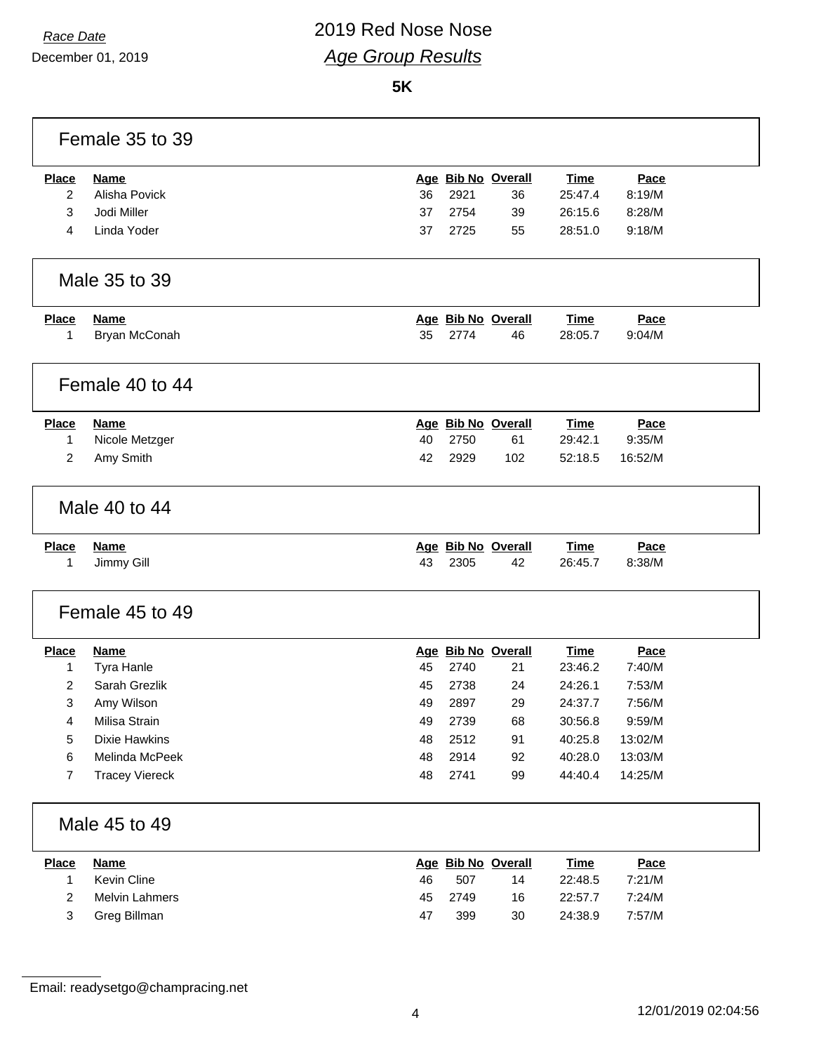## *Race Date* 2019 Red Nose Nose *Age Group Results*

|                | Female 35 to 39       |    |      |                    |             |         |  |
|----------------|-----------------------|----|------|--------------------|-------------|---------|--|
| <b>Place</b>   | <b>Name</b>           |    |      | Age Bib No Overall | <b>Time</b> | Pace    |  |
| 2              | Alisha Povick         | 36 | 2921 | 36                 | 25:47.4     | 8:19/M  |  |
| 3              | Jodi Miller           | 37 | 2754 | 39                 | 26:15.6     | 8:28/M  |  |
| 4              | Linda Yoder           | 37 | 2725 | 55                 | 28:51.0     | 9:18/M  |  |
|                |                       |    |      |                    |             |         |  |
|                | Male 35 to 39         |    |      |                    |             |         |  |
| <b>Place</b>   | <b>Name</b>           |    |      | Age Bib No Overall | <b>Time</b> | Pace    |  |
| 1              | Bryan McConah         | 35 | 2774 | 46                 | 28:05.7     | 9:04/M  |  |
|                |                       |    |      |                    |             |         |  |
|                | Female 40 to 44       |    |      |                    |             |         |  |
| <b>Place</b>   | <b>Name</b>           |    |      | Age Bib No Overall | <b>Time</b> | Pace    |  |
| 1              | Nicole Metzger        | 40 | 2750 | 61                 | 29:42.1     | 9:35/M  |  |
| $\overline{2}$ | Amy Smith             | 42 | 2929 | 102                | 52:18.5     | 16:52/M |  |
|                |                       |    |      |                    |             |         |  |
|                | Male 40 to 44         |    |      |                    |             |         |  |
| <b>Place</b>   | <b>Name</b>           |    |      | Age Bib No Overall | <b>Time</b> | Pace    |  |
| 1              | Jimmy Gill            | 43 | 2305 | 42                 | 26:45.7     | 8:38/M  |  |
|                | Female 45 to 49       |    |      |                    |             |         |  |
| <b>Place</b>   | <b>Name</b>           |    |      | Age Bib No Overall | Time        | Pace    |  |
| 1              | Tyra Hanle            | 45 | 2740 | 21                 | 23:46.2     | 7:40/M  |  |
| $\overline{2}$ | Sarah Grezlik         | 45 | 2738 | 24                 | 24:26.1     | 7:53/M  |  |
| 3              | Amy Wilson            | 49 | 2897 | 29                 | 24:37.7     | 7:56/M  |  |
| 4              | Milisa Strain         | 49 | 2739 | 68                 | 30:56.8     | 9:59/M  |  |
| 5              | <b>Dixie Hawkins</b>  | 48 | 2512 | 91                 | 40:25.8     | 13:02/M |  |
| 6              | Melinda McPeek        | 48 | 2914 | 92                 | 40:28.0     | 13:03/M |  |
| 7              | <b>Tracey Viereck</b> | 48 | 2741 | 99                 | 44:40.4     | 14:25/M |  |
|                |                       |    |      |                    |             |         |  |
|                | Male 45 to 49         |    |      |                    |             |         |  |
| <b>Place</b>   | <b>Name</b>           |    |      | Age Bib No Overall | <b>Time</b> | Pace    |  |
| 1              | Kevin Cline           | 46 | 507  | 14                 | 22:48.5     | 7:21/M  |  |
| 2              | Melvin Lahmers        | 45 | 2749 | 16                 | 22:57.7     | 7:24/M  |  |
| 3              | Greg Billman          | 47 | 399  | $30\,$             | 24:38.9     | 7:57/M  |  |
|                |                       |    |      |                    |             |         |  |

Email: readysetgo@champracing.net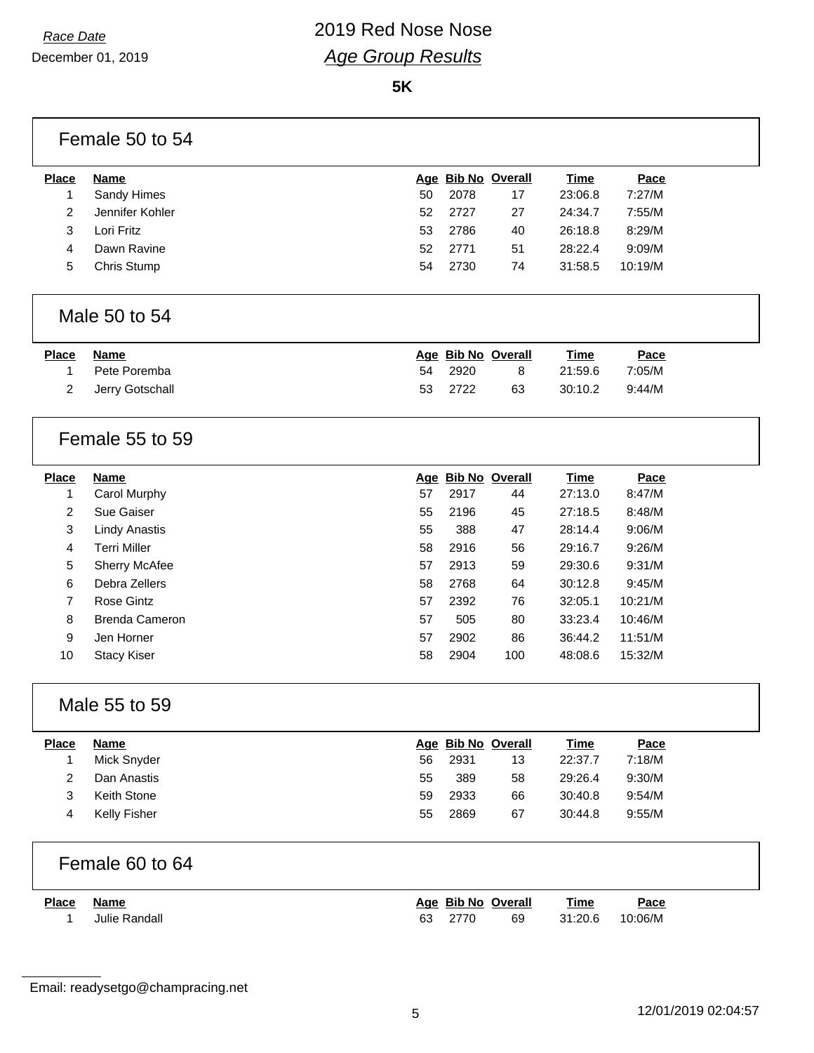|                | Female 50 to 54       |    |      |                    |             |         |
|----------------|-----------------------|----|------|--------------------|-------------|---------|
| <b>Place</b>   | <b>Name</b>           |    |      | Age Bib No Overall | <b>Time</b> | Pace    |
| 1              | Sandy Himes           | 50 | 2078 | 17                 | 23:06.8     | 7:27/M  |
| $\overline{c}$ | Jennifer Kohler       | 52 | 2727 | 27                 | 24:34.7     | 7:55/M  |
| 3              | Lori Fritz            | 53 | 2786 | 40                 | 26:18.8     | 8:29/M  |
| 4              | Dawn Ravine           | 52 | 2771 | 51                 | 28:22.4     | 9:09/M  |
| 5              | Chris Stump           | 54 | 2730 | 74                 | 31:58.5     | 10:19/M |
|                | Male 50 to 54         |    |      |                    |             |         |
| <b>Place</b>   | <b>Name</b>           |    |      | Age Bib No Overall | <b>Time</b> | Pace    |
| 1              | Pete Poremba          | 54 | 2920 | 8                  | 21:59.6     | 7:05/M  |
| 2              | Jerry Gotschall       | 53 | 2722 | 63                 | 30:10.2     | 9:44/M  |
|                | Female 55 to 59       |    |      |                    |             |         |
| <b>Place</b>   | <b>Name</b>           |    |      | Age Bib No Overall | <b>Time</b> | Pace    |
| 1              | Carol Murphy          | 57 | 2917 | 44                 | 27:13.0     | 8:47/M  |
| $\overline{c}$ | Sue Gaiser            | 55 | 2196 | 45                 | 27:18.5     | 8:48/M  |
| 3              | <b>Lindy Anastis</b>  | 55 | 388  | 47                 | 28:14.4     | 9:06/M  |
| 4              | <b>Terri Miller</b>   | 58 | 2916 | 56                 | 29:16.7     | 9:26/M  |
| 5              | Sherry McAfee         | 57 | 2913 | 59                 | 29:30.6     | 9:31/M  |
| 6              | Debra Zellers         | 58 | 2768 | 64                 | 30:12.8     | 9:45/M  |
| $\overline{7}$ | Rose Gintz            | 57 | 2392 | 76                 | 32:05.1     | 10:21/M |
| 8              | <b>Brenda Cameron</b> | 57 | 505  | 80                 | 33:23.4     | 10:46/M |
| 9              | Jen Horner            | 57 | 2902 | 86                 | 36:44.2     | 11:51/M |
| 10             | <b>Stacy Kiser</b>    | 58 | 2904 | 100                | 48:08.6     | 15:32/M |
|                | Male 55 to 59         |    |      |                    |             |         |
| <b>Place</b>   | <b>Name</b>           |    |      | Age Bib No Overall | <b>Time</b> | Pace    |
| 1              | Mick Snyder           | 56 | 2931 | 13                 | 22:37.7     | 7:18/M  |
| 2              | Dan Anastis           | 55 | 389  | 58                 | 29:26.4     | 9:30/M  |
| 3              | Keith Stone           | 59 | 2933 | 66                 | 30:40.8     | 9:54/M  |
| 4              | Kelly Fisher          | 55 | 2869 | 67                 | 30:44.8     | 9:55/M  |
|                | Female 60 to 64       |    |      |                    |             |         |
| <b>Place</b>   | <b>Name</b>           |    |      | Age Bib No Overall | <b>Time</b> | Pace    |
| 1              | Julie Randall         | 63 | 2770 | 69                 | 31:20.6     | 10:06/M |

Email: readysetgo@champracing.net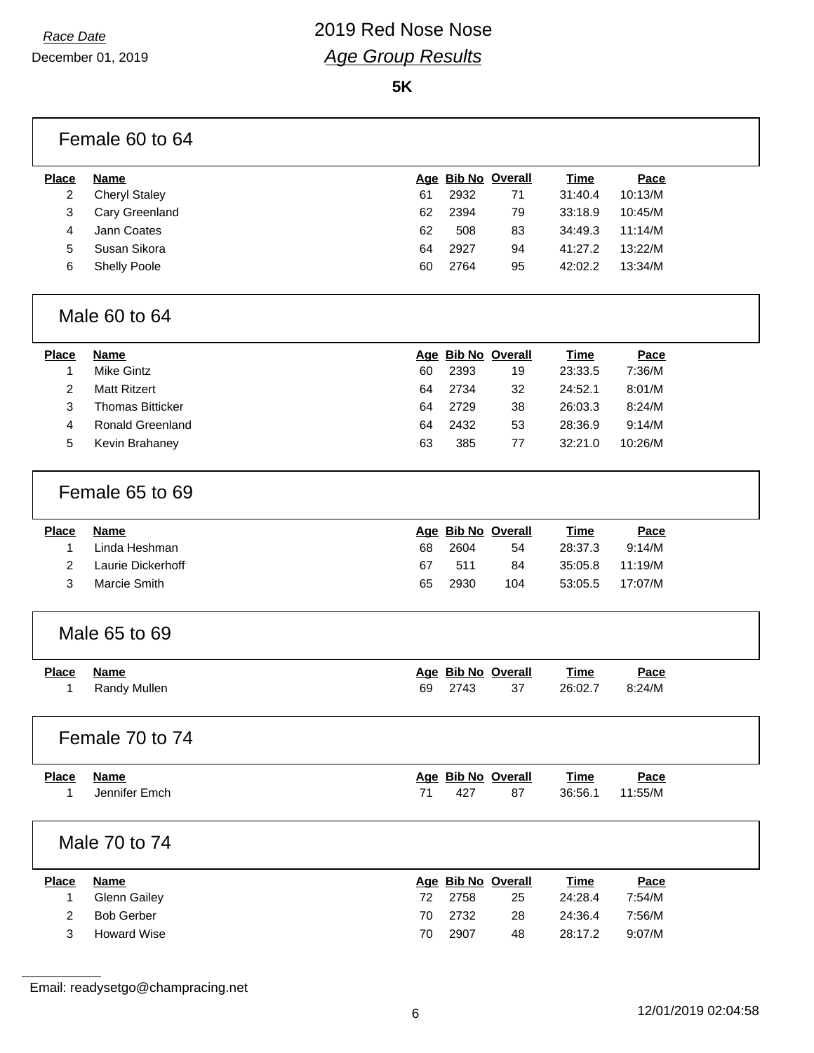**5K**

|                | Female 60 to 64         |    |      |                    |             |         |
|----------------|-------------------------|----|------|--------------------|-------------|---------|
| <b>Place</b>   | <b>Name</b>             |    |      | Age Bib No Overall | <b>Time</b> | Pace    |
| 2              | <b>Cheryl Staley</b>    | 61 | 2932 | 71                 | 31:40.4     | 10:13/M |
| 3              | Cary Greenland          | 62 | 2394 | 79                 | 33:18.9     | 10:45/M |
| $\overline{4}$ | Jann Coates             | 62 | 508  | 83                 | 34:49.3     | 11:14/M |
| 5              | Susan Sikora            | 64 | 2927 | 94                 | 41:27.2     | 13:22/M |
| 6              | <b>Shelly Poole</b>     | 60 | 2764 | 95                 | 42:02.2     | 13:34/M |
|                | Male 60 to 64           |    |      |                    |             |         |
| <b>Place</b>   | <b>Name</b>             |    |      | Age Bib No Overall | <b>Time</b> | Pace    |
| $\mathbf{1}$   | <b>Mike Gintz</b>       | 60 | 2393 | 19                 | 23:33.5     | 7:36/M  |
| $\overline{c}$ | <b>Matt Ritzert</b>     | 64 | 2734 | 32                 | 24:52.1     | 8:01/M  |
| 3              | <b>Thomas Bitticker</b> | 64 | 2729 | 38                 | 26:03.3     | 8:24/M  |
| 4              | Ronald Greenland        | 64 | 2432 | 53                 | 28:36.9     | 9:14/M  |
| 5              | Kevin Brahaney          | 63 | 385  | 77                 | 32:21.0     | 10:26/M |
|                | Female 65 to 69         |    |      |                    |             |         |
| <b>Place</b>   | <b>Name</b>             |    |      | Age Bib No Overall | <b>Time</b> | Pace    |
| $\mathbf{1}$   | Linda Heshman           | 68 | 2604 | 54                 | 28:37.3     | 9:14/M  |
| $\overline{2}$ | Laurie Dickerhoff       | 67 | 511  | 84                 | 35:05.8     | 11:19/M |
| 3              | Marcie Smith            | 65 | 2930 | 104                | 53:05.5     | 17:07/M |
|                | Male 65 to 69           |    |      |                    |             |         |
| <b>Place</b>   | <b>Name</b>             |    |      | Age Bib No Overall | <b>Time</b> | Pace    |
| 1              | Randy Mullen            | 69 | 2743 | 37                 | 26:02.7     | 8:24/M  |
|                | Female 70 to 74         |    |      |                    |             |         |
| <b>Place</b>   | <b>Name</b>             |    |      | Age Bib No Overall | <b>Time</b> | Pace    |
| 1              | Jennifer Emch           | 71 | 427  | 87                 | 36:56.1     | 11:55/M |
|                | Male 70 to 74           |    |      |                    |             |         |
| <b>Place</b>   | <b>Name</b>             |    |      | Age Bib No Overall | <b>Time</b> | Pace    |
| 1              | <b>Glenn Gailey</b>     | 72 | 2758 | 25                 | 24:28.4     | 7:54/M  |
| $\overline{2}$ | <b>Bob Gerber</b>       | 70 | 2732 | 28                 | 24:36.4     | 7:56/M  |
| 3              | <b>Howard Wise</b>      | 70 | 2907 | 48                 | 28:17.2     | 9:07/M  |

Email: readysetgo@champracing.net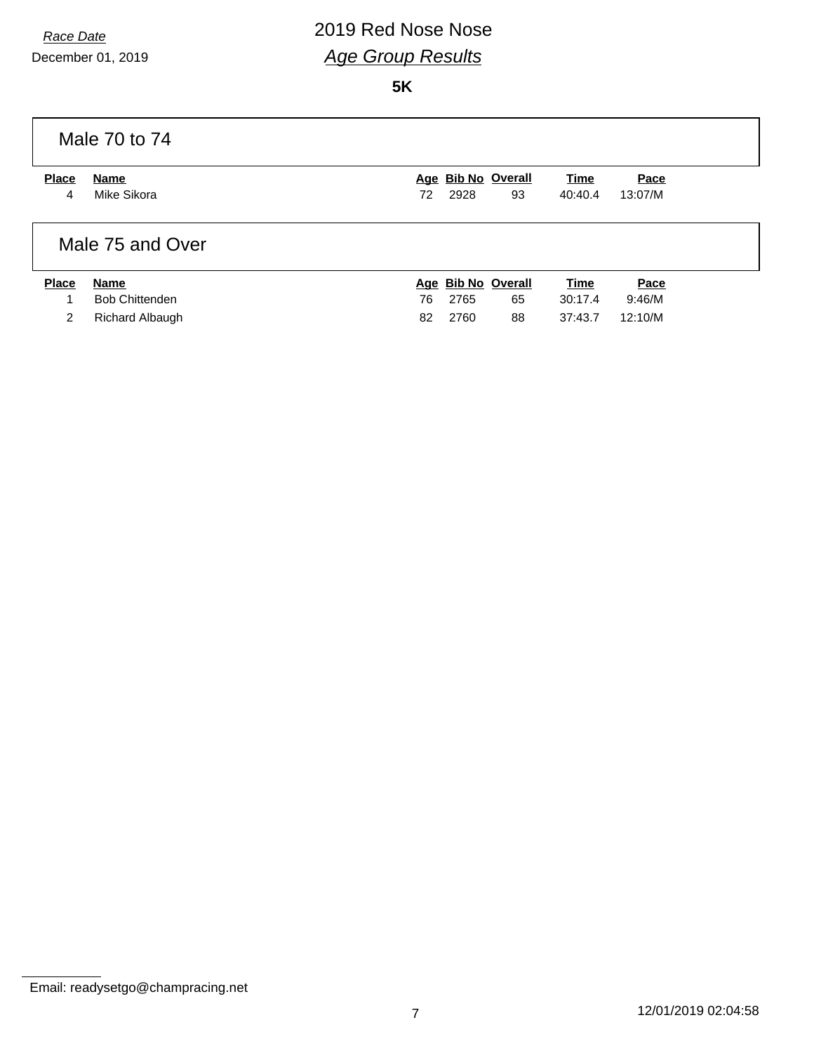# *Race Date* 2019 Red Nose Nose *Age Group Results*

|              | Male 70 to 74          |    |      |                    |             |         |
|--------------|------------------------|----|------|--------------------|-------------|---------|
| <b>Place</b> | Name                   |    |      | Age Bib No Overall | Time        | Pace    |
| 4            | Mike Sikora            | 72 | 2928 | 93                 | 40:40.4     | 13:07/M |
|              | Male 75 and Over       |    |      |                    |             |         |
| <b>Place</b> | <b>Name</b>            |    |      | Age Bib No Overall | <b>Time</b> | Pace    |
|              | <b>Bob Chittenden</b>  | 76 | 2765 | 65                 | 30:17.4     | 9:46/M  |
| 2            | <b>Richard Albaugh</b> | 82 | 2760 | 88                 | 37:43.7     | 12:10/M |

Email: readysetgo@champracing.net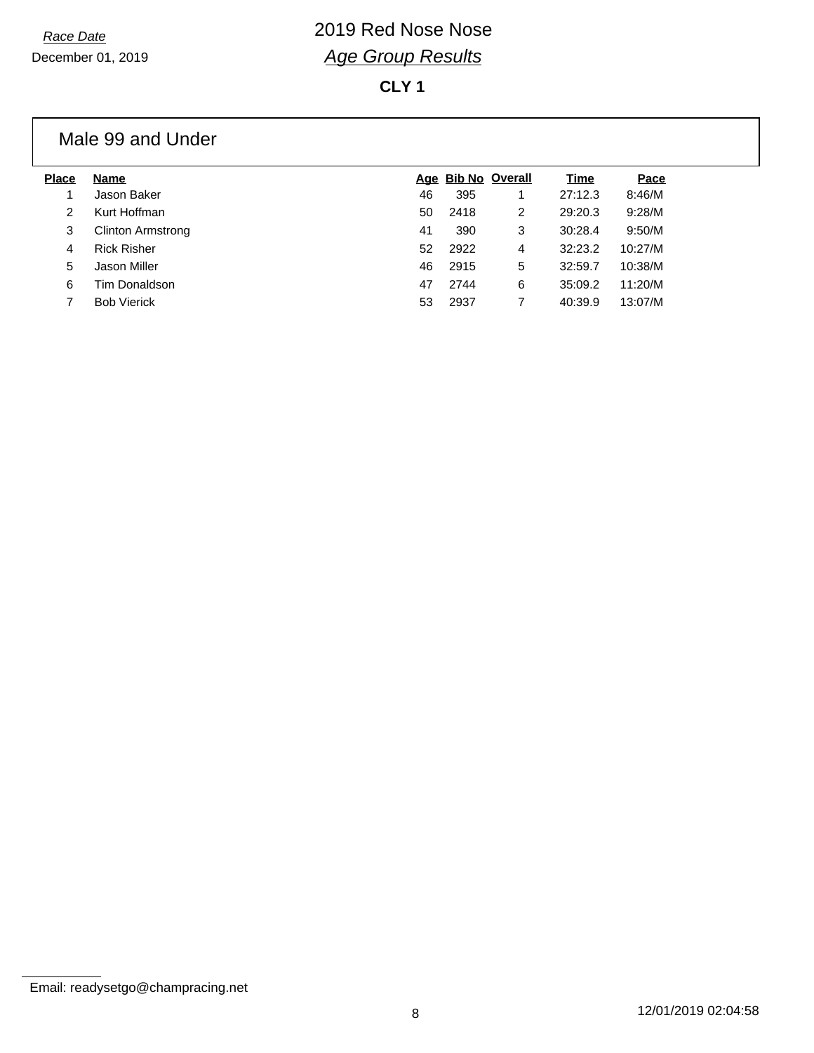**CLY 1**

### Male 99 and Under

| <b>Name</b>              |    |      |   | Time               | Pace    |
|--------------------------|----|------|---|--------------------|---------|
| Jason Baker              | 46 | 395  |   | 27:12.3            | 8:46/M  |
| Kurt Hoffman             | 50 | 2418 | 2 | 29:20.3            | 9:28/M  |
| <b>Clinton Armstrong</b> | 41 | 390  | 3 | 30:28.4            | 9:50/M  |
| <b>Rick Risher</b>       | 52 | 2922 | 4 | 32:23.2            | 10:27/M |
| Jason Miller             | 46 | 2915 | 5 | 32:59.7            | 10:38/M |
| Tim Donaldson            | 47 | 2744 | 6 | 35:09.2            | 11:20/M |
| <b>Bob Vierick</b>       | 53 | 2937 |   | 40:39.9            | 13:07/M |
|                          |    |      |   | Age Bib No Overall |         |

Email: readysetgo@champracing.net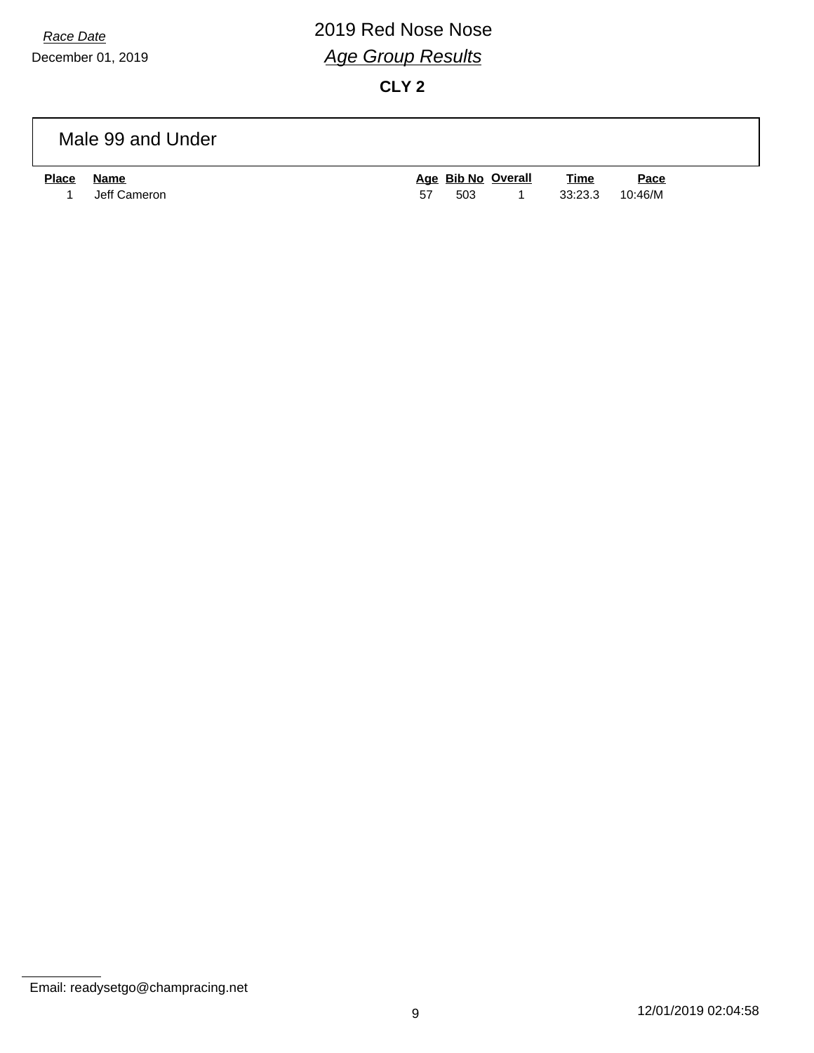# *Race Date* 2019 Red Nose Nose *Age Group Results*

**CLY 2**

### Male 99 and Under

| <u>Place</u> | Name           |     | Age Bib No Overall | Time | Pace |
|--------------|----------------|-----|--------------------|------|------|
|              | 1 Jeff Cameron | 503 | $\sim$ 1           |      |      |

Email: readysetgo@champracing.net